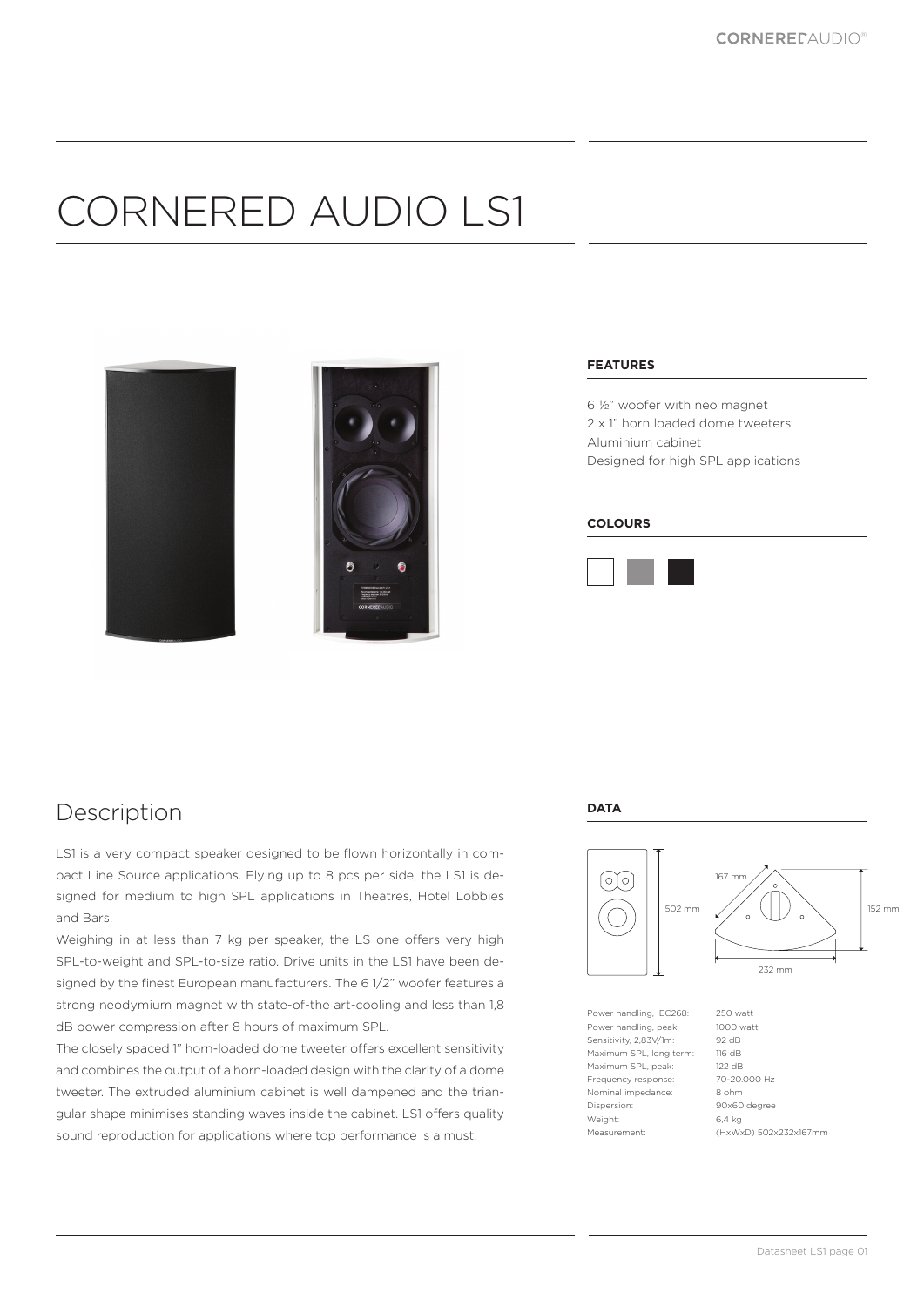# CORNERED AUDIO LS1



#### **FEATURES**

6 ½" woofer with neo magnet 2 x 1" horn loaded dome tweeters Aluminium cabinet Designed for high SPL applications

#### **COLOURS**



### Description

LS1 is a very compact speaker designed to be flown horizontally in compact Line Source applications. Flying up to 8 pcs per side, the LS1 is designed for medium to high SPL applications in Theatres, Hotel Lobbies and Bars.

Weighing in at less than 7 kg per speaker, the LS one offers very high SPL-to-weight and SPL-to-size ratio. Drive units in the LS1 have been designed by the finest European manufacturers. The 6 1/2" woofer features a strong neodymium magnet with state-of-the art-cooling and less than 1,8 dB power compression after 8 hours of maximum SPL.

The closely spaced 1" horn-loaded dome tweeter offers excellent sensitivity and combines the output of a horn-loaded design with the clarity of a dome tweeter. The extruded aluminium cabinet is well dampened and the triangular shape minimises standing waves inside the cabinet. LS1 offers quality sound reproduction for applications where top performance is a must.

#### **DATA**